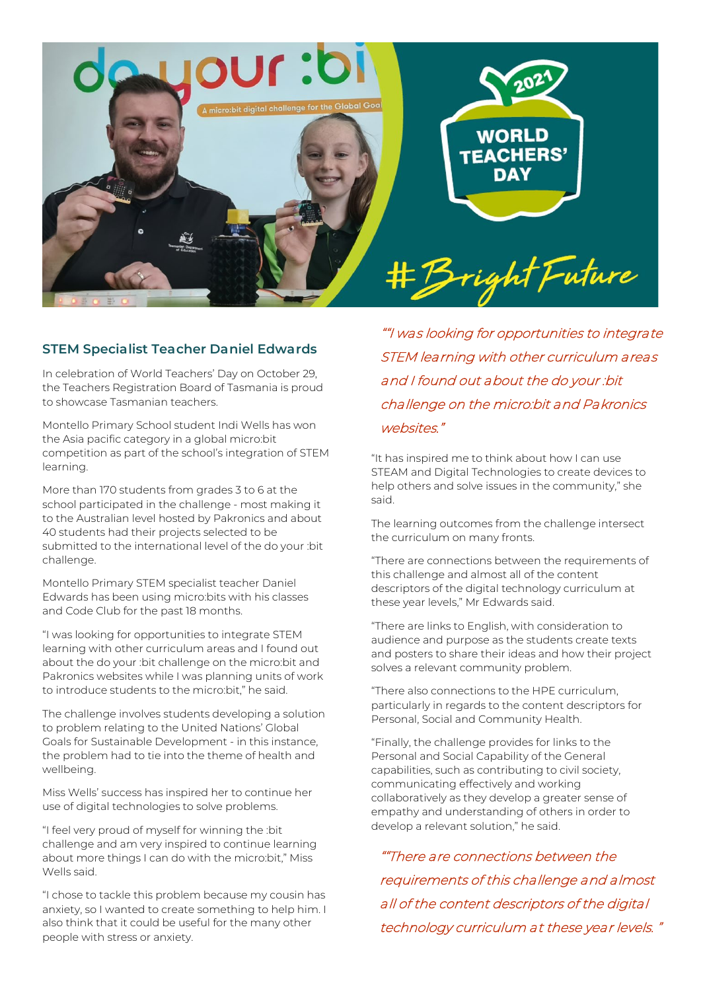

## **STEM Specialist Teacher Daniel Edwards**

In celebration of World Teachers' Day on October 29, the Teachers Registration Board of Tasmania is proud to showcase Tasmanian teachers.

Montello Primary School student Indi Wells has won the Asia pacific category in a global micro:bit competition as part of the school's integration of STEM learning.

More than 170 students from grades 3 to 6 at the school participated in the challenge - most making it to the Australian level hosted by Pakronics and about 40 students had their projects selected to be submitted to the international level of the do your :bit challenge.

Montello Primary STEM specialist teacher Daniel Edwards has been using micro:bits with his classes and Code Club for the past 18 months.

"I was looking for opportunities to integrate STEM learning with other curriculum areas and I found out about the do your :bit challenge on the micro:bit and Pakronics websites while I was planning units of work to introduce students to the micro:bit," he said.

The challenge involves students developing a solution to problem relating to the United Nations' Global Goals for Sustainable Development - in this instance, the problem had to tie into the theme of health and wellbeing.

Miss Wells' success has inspired her to continue her use of digital technologies to solve problems.

"I feel very proud of myself for winning the :bit challenge and am very inspired to continue learning about more things I can do with the micro:bit," Miss Wells said.

"I chose to tackle this problem because my cousin has anxiety, so I wanted to create something to help him. I also think that it could be useful for the many other people with stress or anxiety.

""I was looking for opportunities to integrate STEM learning with other curriculum areas and I found out about the do your :bit challenge on the micro:bit and Pakronics websites."

"It has inspired me to think about how I can use STEAM and Digital Technologies to create devices to help others and solve issues in the community," she said.

The learning outcomes from the challenge intersect the curriculum on many fronts.

"There are connections between the requirements of this challenge and almost all of the content descriptors of the digital technology curriculum at these year levels," Mr Edwards said.

"There are links to English, with consideration to audience and purpose as the students create texts and posters to share their ideas and how their project solves a relevant community problem.

"There also connections to the HPE curriculum, particularly in regards to the content descriptors for Personal, Social and Community Health.

"Finally, the challenge provides for links to the Personal and Social Capability of the General capabilities, such as contributing to civil society, communicating effectively and working collaboratively as they develop a greater sense of empathy and understanding of others in order to develop a relevant solution," he said.

""There are connections between the requirements of this challenge and almost all of the content descriptors of the digital technology curriculum at these year levels. "